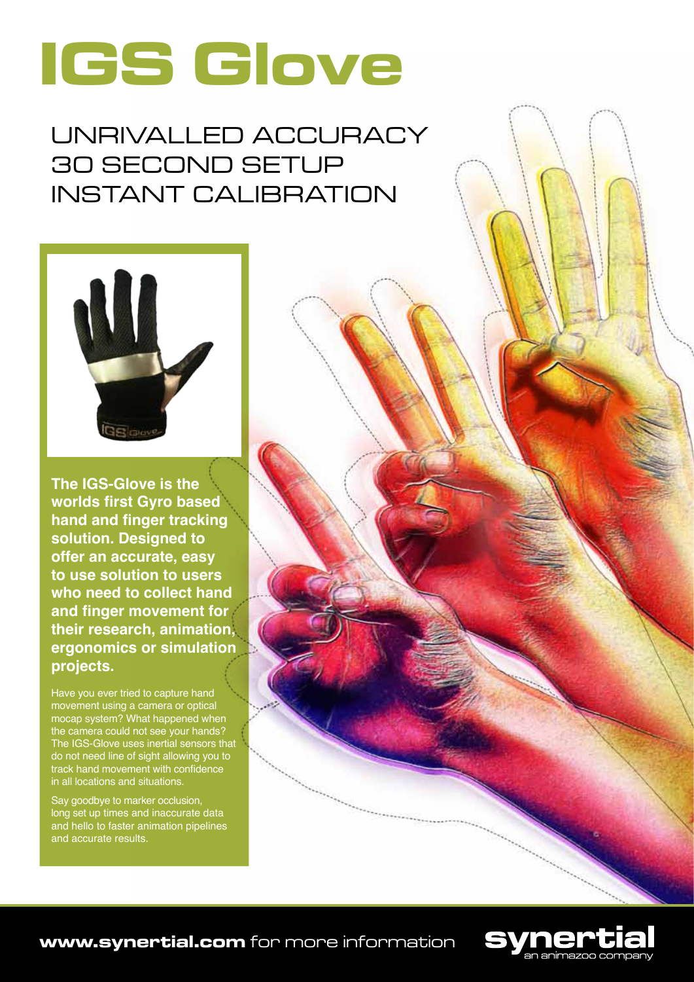

Unrivalled accuracy 30 second setup Instant calibration



**The IGS-Glove is the worlds first Gyro based hand and finger tracking solution. Designed to offer an accurate, easy to use solution to users who need to collect hand and finger movement for their research, animation, ergonomics or simulation projects.**

Have you ever tried to capture hand movement using a camera or optical mocap system? What happened when the camera could not see your hands? The IGS-Glove uses inertial sensors that do not need line of sight allowing you to track hand movement with confidence in all locations and situations.

Say goodbye to marker occlusion, long set up times and inaccurate data and hello to faster animation pipelines and accurate results.



**www.synertial.com** for more information